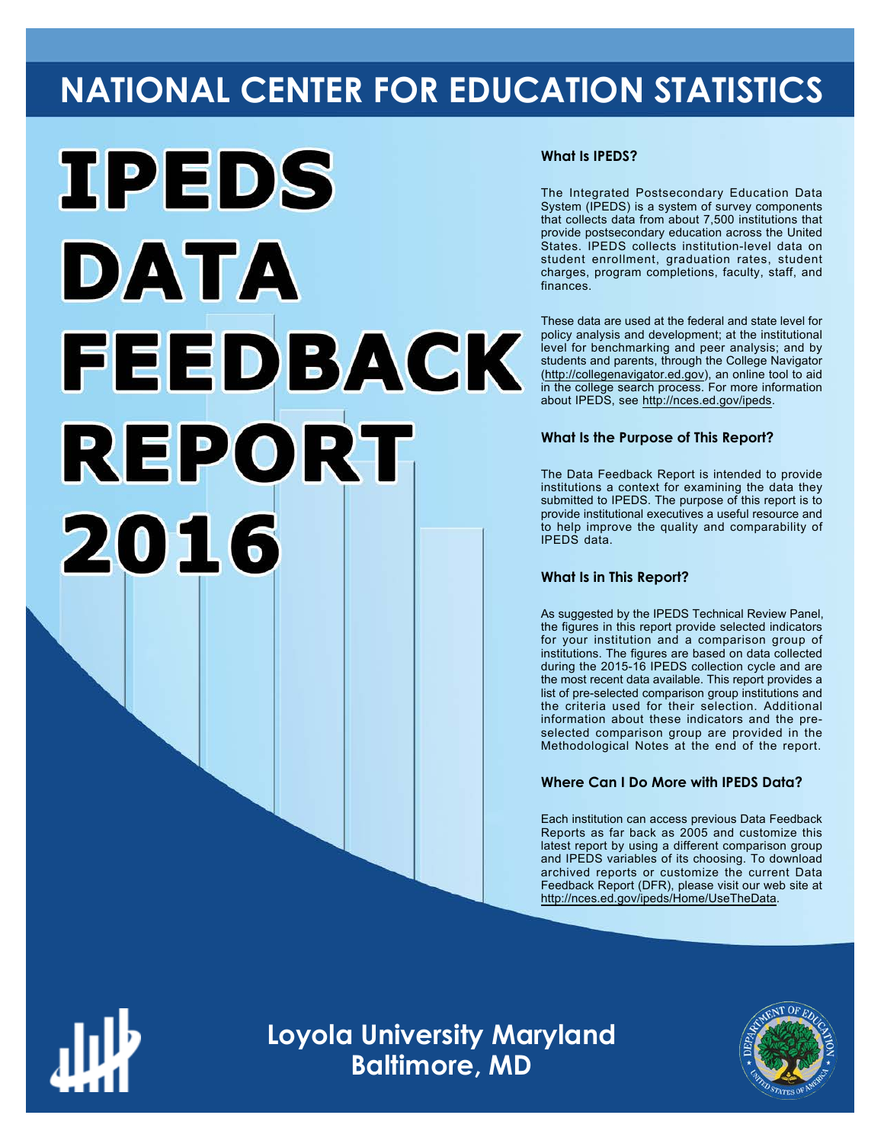# **NATIONAL CENTER FOR EDUCATION STATISTICS**



# **What Is IPEDS?**

The Integrated Postsecondary Education Data System (IPEDS) is a system of survey components that collects data from about 7,500 institutions that provide postsecondary education across the United States. IPEDS collects institution-level data on student enrollment, graduation rates, student charges, program completions, faculty, staff, and finances.

These data are used at the federal and state level for policy analysis and development; at the institutional level for benchmarking and peer analysis; and by students and parents, through the College Navigator ([http://collegenavigator.ed.gov\)](http://collegenavigator.ed.gov), an online tool to aid in the college search process. For more information about IPEDS, see [http://nces.ed.gov/ipeds.](http://nces.ed.gov/ipeds)

# **What Is the Purpose of This Report?**

The Data Feedback Report is intended to provide institutions a context for examining the data they submitted to IPEDS. The purpose of this report is to provide institutional executives a useful resource and to help improve the quality and comparability of IPEDS data.

#### **What Is in This Report?**

As suggested by the IPEDS Technical Review Panel, the figures in this report provide selected indicators for your institution and a comparison group of institutions. The figures are based on data collected during the 2015-16 IPEDS collection cycle and are the most recent data available. This report provides a list of pre-selected comparison group institutions and the criteria used for their selection. Additional information about these indicators and the preselected comparison group are provided in the Methodological Notes at the end of the report.

# **Where Can I Do More with IPEDS Data?**

Each institution can access previous Data Feedback Reports as far back as 2005 and customize this latest report by using a different comparison group and IPEDS variables of its choosing. To download archived reports or customize the current Data Feedback Report (DFR), please visit our web site at [http://nces.ed.gov/ipeds/Home/UseTheData.](http://nces.ed.gov/ipeds/Home/UseTheData)



**Loyola University Maryland Baltimore, MD**

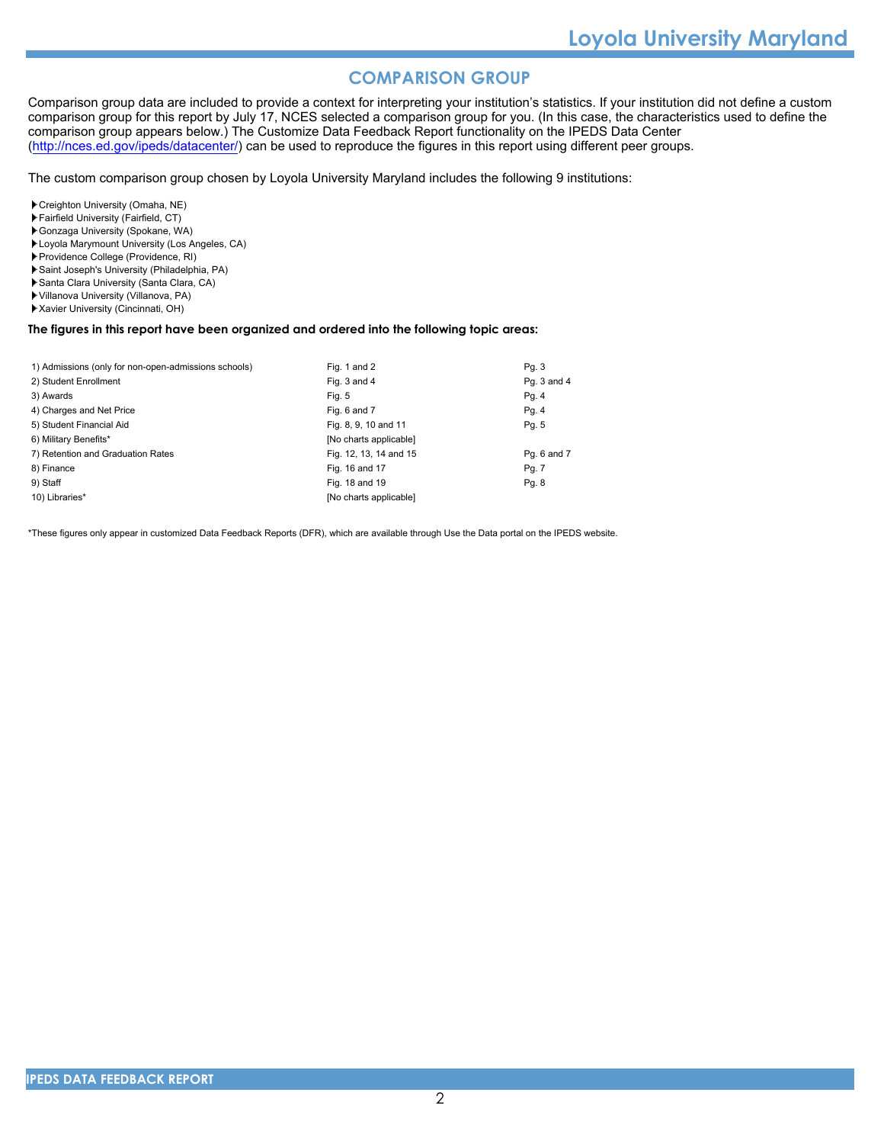# **COMPARISON GROUP**

Comparison group data are included to provide a context for interpreting your institution's statistics. If your institution did not define a custom comparison group for this report by July 17, NCES selected a comparison group for you. (In this case, the characteristics used to define the comparison group appears below.) The Customize Data Feedback Report functionality on the IPEDS Data Center [\(http://nces.ed.gov/ipeds/datacenter/\)](http://nces.ed.gov/ipeds/datacenter/) can be used to reproduce the figures in this report using different peer groups.

The custom comparison group chosen by Loyola University Maryland includes the following 9 institutions:

- Creighton University (Omaha, NE)
- Fairfield University (Fairfield, CT)
- Gonzaga University (Spokane, WA)
- Loyola Marymount University (Los Angeles, CA)
- Providence College (Providence, RI)
- Saint Joseph's University (Philadelphia, PA)
- Santa Clara University (Santa Clara, CA)
- Villanova University (Villanova, PA)
- Xavier University (Cincinnati, OH)

#### **The figures in this report have been organized and ordered into the following topic areas:**

| 1) Admissions (only for non-open-admissions schools) | Fig. 1 and 2           | Pq. 3       |
|------------------------------------------------------|------------------------|-------------|
| 2) Student Enrollment                                | Fig. 3 and 4           | Pg. 3 and 4 |
| 3) Awards                                            | Fig. 5                 | Pg. 4       |
| 4) Charges and Net Price                             | Fig. 6 and 7           | Pg. 4       |
| 5) Student Financial Aid                             | Fig. 8, 9, 10 and 11   | Pg. 5       |
| 6) Military Benefits*                                | [No charts applicable] |             |
| 7) Retention and Graduation Rates                    | Fig. 12, 13, 14 and 15 | Pq. 6 and 7 |
| 8) Finance                                           | Fig. 16 and 17         | Pg. 7       |
| 9) Staff                                             | Fig. 18 and 19         | Pq. 8       |
| 10) Libraries*                                       | [No charts applicable] |             |

\*These figures only appear in customized Data Feedback Reports (DFR), which are available through Use the Data portal on the IPEDS website.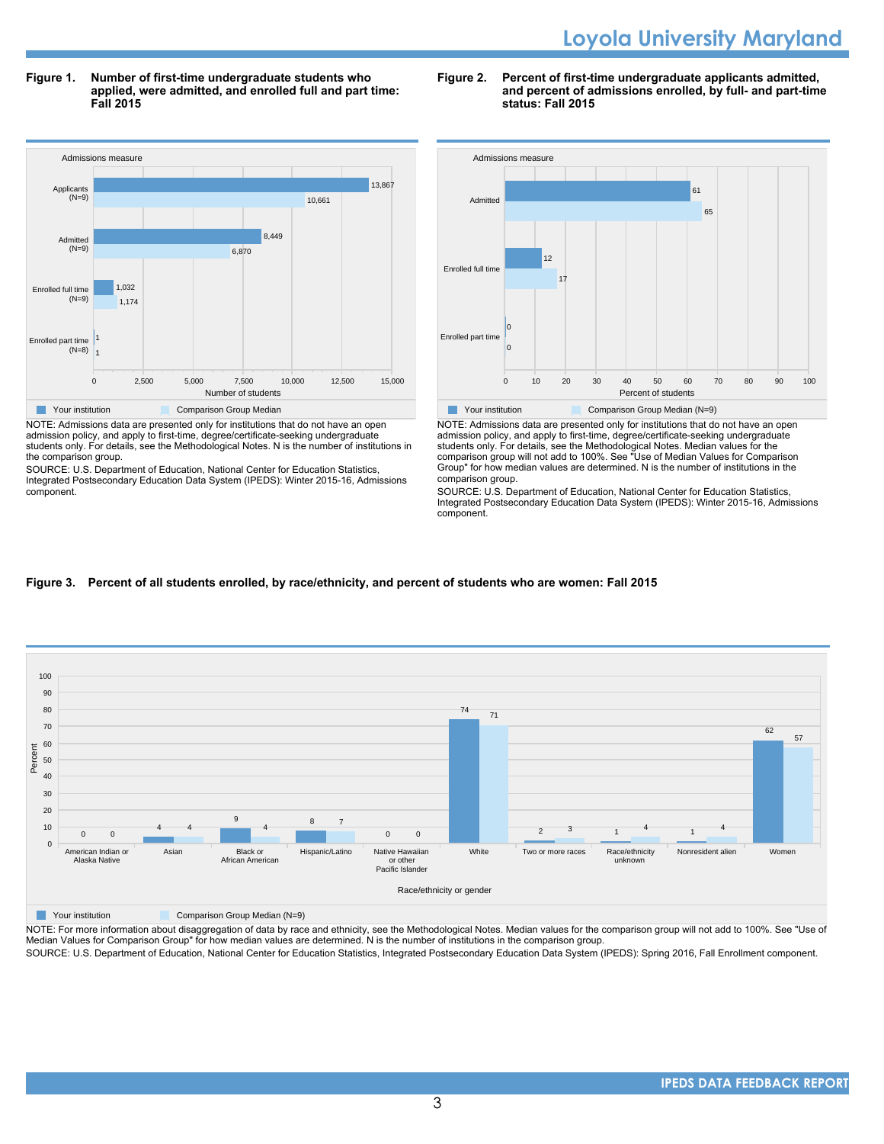**Figure 1. Number of first-time undergraduate students who applied, were admitted, and enrolled full and part time: Fall 2015**



NOTE: Admissions data are presented only for institutions that do not have an open admission policy, and apply to first-time, degree/certificate-seeking undergraduate students only. For details, see the Methodological Notes. N is the number of institutions in the comparison group.

SOURCE: U.S. Department of Education, National Center for Education Statistics, Integrated Postsecondary Education Data System (IPEDS): Winter 2015-16, Admissions component.





NOTE: Admissions data are presented only for institutions that do not have an open admission policy, and apply to first-time, degree/certificate-seeking undergraduate students only. For details, see the Methodological Notes. Median values for the comparison group will not add to 100%. See "Use of Median Values for Comparison Group" for how median values are determined. N is the number of institutions in the comparison group.

SOURCE: U.S. Department of Education, National Center for Education Statistics, Integrated Postsecondary Education Data System (IPEDS): Winter 2015-16, Admissions component.

# **Figure 3. Percent of all students enrolled, by race/ethnicity, and percent of students who are women: Fall 2015**



**The Comparison Group Median (N=9)** Comparison Group Median (N=9)

NOTE: For more information about disaggregation of data by race and ethnicity, see the Methodological Notes. Median values for the comparison group will not add to 100%. See "Use of Median Values for Comparison Group" for how median values are determined. N is the number of institutions in the comparison group.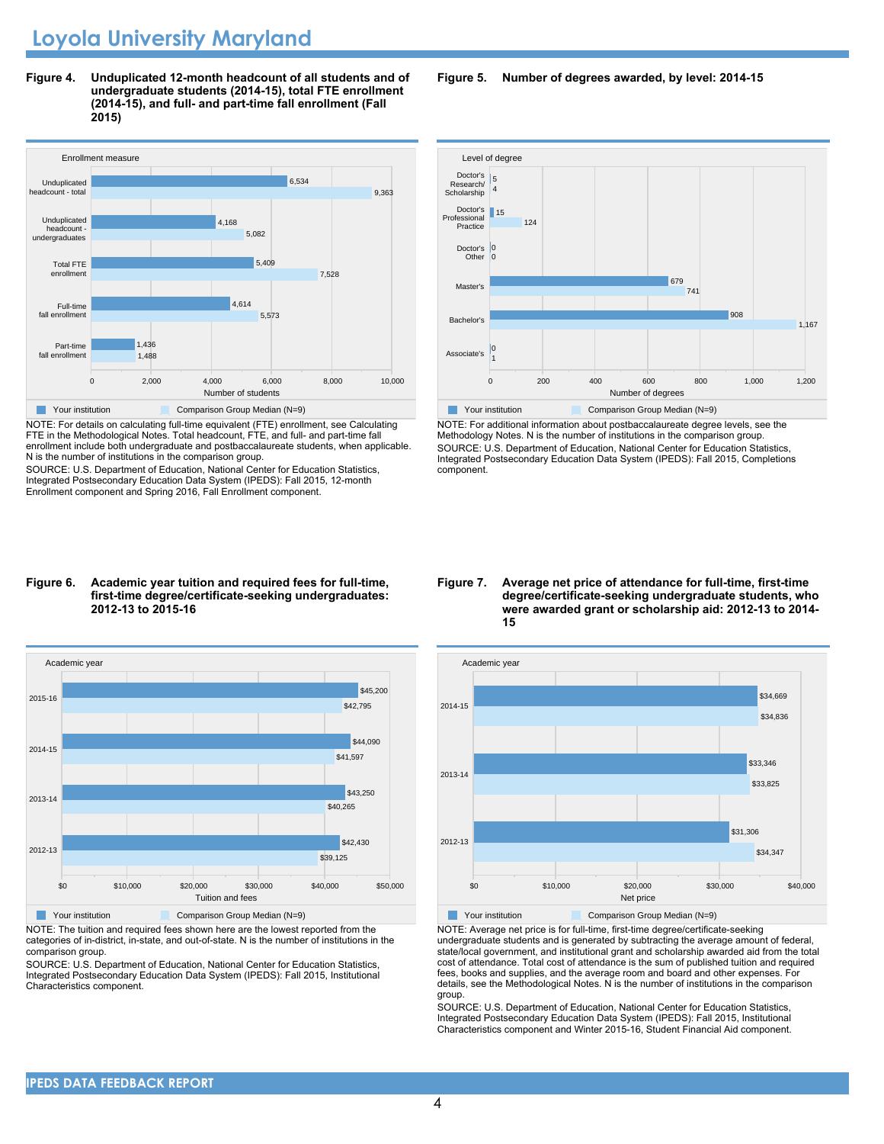**Figure 4. Unduplicated 12-month headcount of all students and of undergraduate students (2014-15), total FTE enrollment (2014-15), and full- and part-time fall enrollment (Fall 2015)**



NOTE: For details on calculating full-time equivalent (FTE) enrollment, see Calculating FTE in the Methodological Notes. Total headcount, FTE, and full- and part-time fall enrollment include both undergraduate and postbaccalaureate students, when applicable. N is the number of institutions in the comparison group.

SOURCE: U.S. Department of Education, National Center for Education Statistics, Integrated Postsecondary Education Data System (IPEDS): Fall 2015, 12-month Enrollment component and Spring 2016, Fall Enrollment component.

#### **Figure 6. Academic year tuition and required fees for full-time, first-time degree/certificate-seeking undergraduates: 2012-13 to 2015-16**



NOTE: The tuition and required fees shown here are the lowest reported from the categories of in-district, in-state, and out-of-state. N is the number of institutions in the comparison group.

SOURCE: U.S. Department of Education, National Center for Education Statistics, Integrated Postsecondary Education Data System (IPEDS): Fall 2015, Institutional Characteristics component.

**Figure 5. Number of degrees awarded, by level: 2014-15**



NOTE: For additional information about postbaccalaureate degree levels, see the Methodology Notes. N is the number of institutions in the comparison group. SOURCE: U.S. Department of Education, National Center for Education Statistics, Integrated Postsecondary Education Data System (IPEDS): Fall 2015, Completions component.

**Figure 7. Average net price of attendance for full-time, first-time degree/certificate-seeking undergraduate students, who were awarded grant or scholarship aid: 2012-13 to 2014- 15**



NOTE: Average net price is for full-time, first-time degree/certificate-seeking undergraduate students and is generated by subtracting the average amount of federal, state/local government, and institutional grant and scholarship awarded aid from the total cost of attendance. Total cost of attendance is the sum of published tuition and required fees, books and supplies, and the average room and board and other expenses. For details, see the Methodological Notes. N is the number of institutions in the comparison group.

SOURCE: U.S. Department of Education, National Center for Education Statistics, Integrated Postsecondary Education Data System (IPEDS): Fall 2015, Institutional Characteristics component and Winter 2015-16, Student Financial Aid component.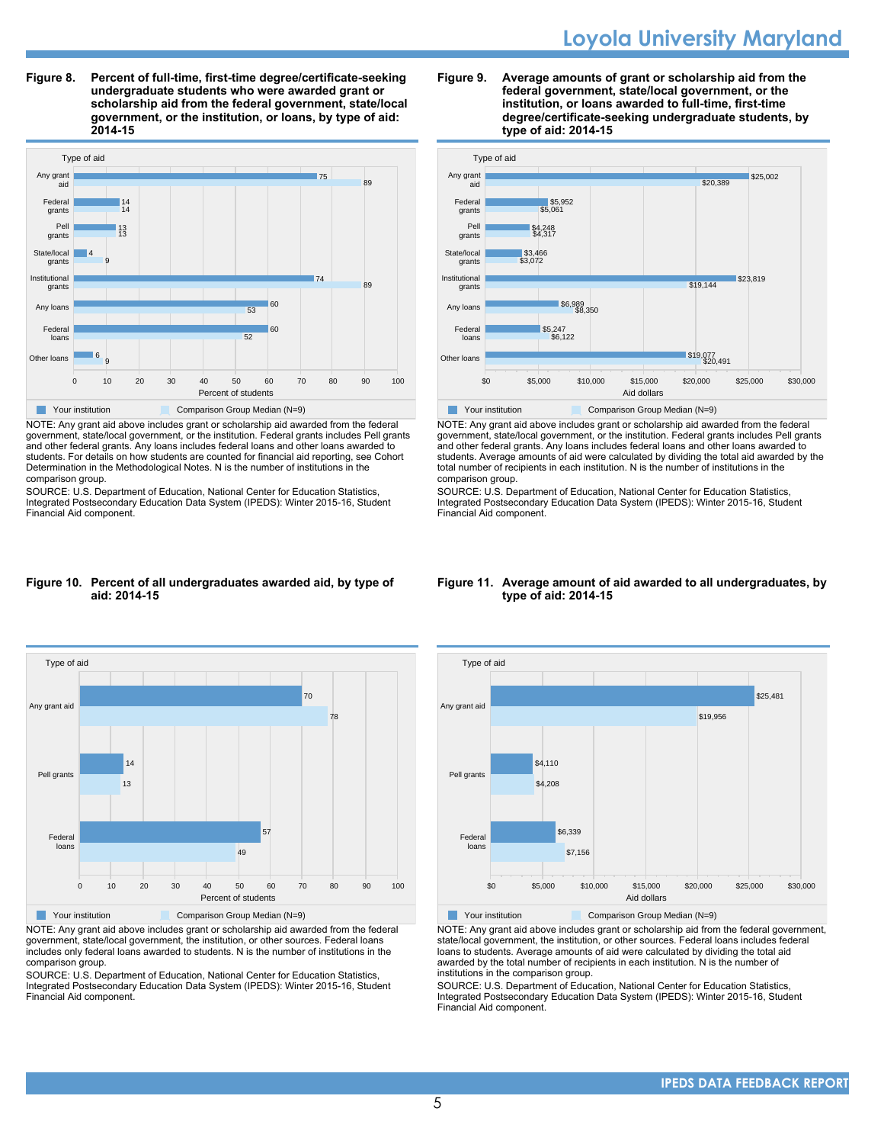**Figure 8. Percent of full-time, first-time degree/certificate-seeking undergraduate students who were awarded grant or scholarship aid from the federal government, state/local government, or the institution, or loans, by type of aid: 2014-15**



NOTE: Any grant aid above includes grant or scholarship aid awarded from the federal government, state/local government, or the institution. Federal grants includes Pell grants and other federal grants. Any loans includes federal loans and other loans awarded to students. For details on how students are counted for financial aid reporting, see Cohort Determination in the Methodological Notes. N is the number of institutions in the comparison group.

SOURCE: U.S. Department of Education, National Center for Education Statistics, Integrated Postsecondary Education Data System (IPEDS): Winter 2015-16, Student Financial Aid component.

#### **Figure 9. Average amounts of grant or scholarship aid from the federal government, state/local government, or the institution, or loans awarded to full-time, first-time degree/certificate-seeking undergraduate students, by type of aid: 2014-15**



NOTE: Any grant aid above includes grant or scholarship aid awarded from the federal government, state/local government, or the institution. Federal grants includes Pell grants and other federal grants. Any loans includes federal loans and other loans awarded to students. Average amounts of aid were calculated by dividing the total aid awarded by the total number of recipients in each institution. N is the number of institutions in the comparison group.

SOURCE: U.S. Department of Education, National Center for Education Statistics, Integrated Postsecondary Education Data System (IPEDS): Winter 2015-16, Student Financial Aid component.

#### **Figure 10. Percent of all undergraduates awarded aid, by type of aid: 2014-15**



NOTE: Any grant aid above includes grant or scholarship aid awarded from the federal government, state/local government, the institution, or other sources. Federal loans includes only federal loans awarded to students. N is the number of institutions in the comparison group.

SOURCE: U.S. Department of Education, National Center for Education Statistics, Integrated Postsecondary Education Data System (IPEDS): Winter 2015-16, Student Financial Aid component.

#### **Figure 11. Average amount of aid awarded to all undergraduates, by type of aid: 2014-15**



Your institution **Comparison Group Median (N=9)** 

NOTE: Any grant aid above includes grant or scholarship aid from the federal government, state/local government, the institution, or other sources. Federal loans includes federal loans to students. Average amounts of aid were calculated by dividing the total aid awarded by the total number of recipients in each institution. N is the number of institutions in the comparison group.

SOURCE: U.S. Department of Education, National Center for Education Statistics, Integrated Postsecondary Education Data System (IPEDS): Winter 2015-16, Student Financial Aid component.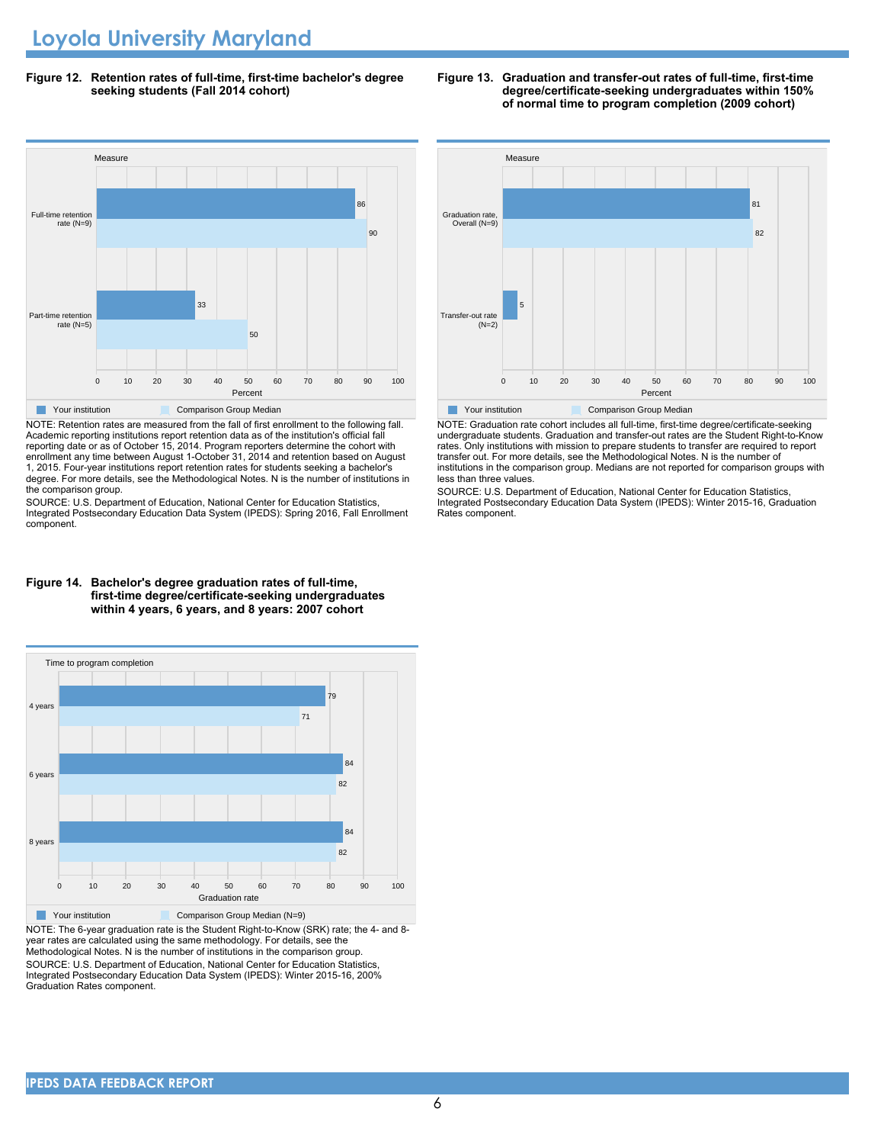**Figure 12. Retention rates of full-time, first-time bachelor's degree seeking students (Fall 2014 cohort)**



NOTE: Retention rates are measured from the fall of first enrollment to the following fall. Academic reporting institutions report retention data as of the institution's official fall reporting date or as of October 15, 2014. Program reporters determine the cohort with enrollment any time between August 1-October 31, 2014 and retention based on August 1, 2015. Four-year institutions report retention rates for students seeking a bachelor's degree. For more details, see the Methodological Notes. N is the number of institutions in the comparison group.

SOURCE: U.S. Department of Education, National Center for Education Statistics, Integrated Postsecondary Education Data System (IPEDS): Spring 2016, Fall Enrollment component.

#### **Figure 14. Bachelor's degree graduation rates of full-time, first-time degree/certificate-seeking undergraduates within 4 years, 6 years, and 8 years: 2007 cohort**



NOTE: The 6-year graduation rate is the Student Right-to-Know (SRK) rate; the 4- and 8 year rates are calculated using the same methodology. For details, see the Methodological Notes. N is the number of institutions in the comparison group. SOURCE: U.S. Department of Education, National Center for Education Statistics, Integrated Postsecondary Education Data System (IPEDS): Winter 2015-16, 200% Graduation Rates component.





NOTE: Graduation rate cohort includes all full-time, first-time degree/certificate-seeking undergraduate students. Graduation and transfer-out rates are the Student Right-to-Know rates. Only institutions with mission to prepare students to transfer are required to report transfer out. For more details, see the Methodological Notes. N is the number of institutions in the comparison group. Medians are not reported for comparison groups with less than three values.

SOURCE: U.S. Department of Education, National Center for Education Statistics, Integrated Postsecondary Education Data System (IPEDS): Winter 2015-16, Graduation Rates component.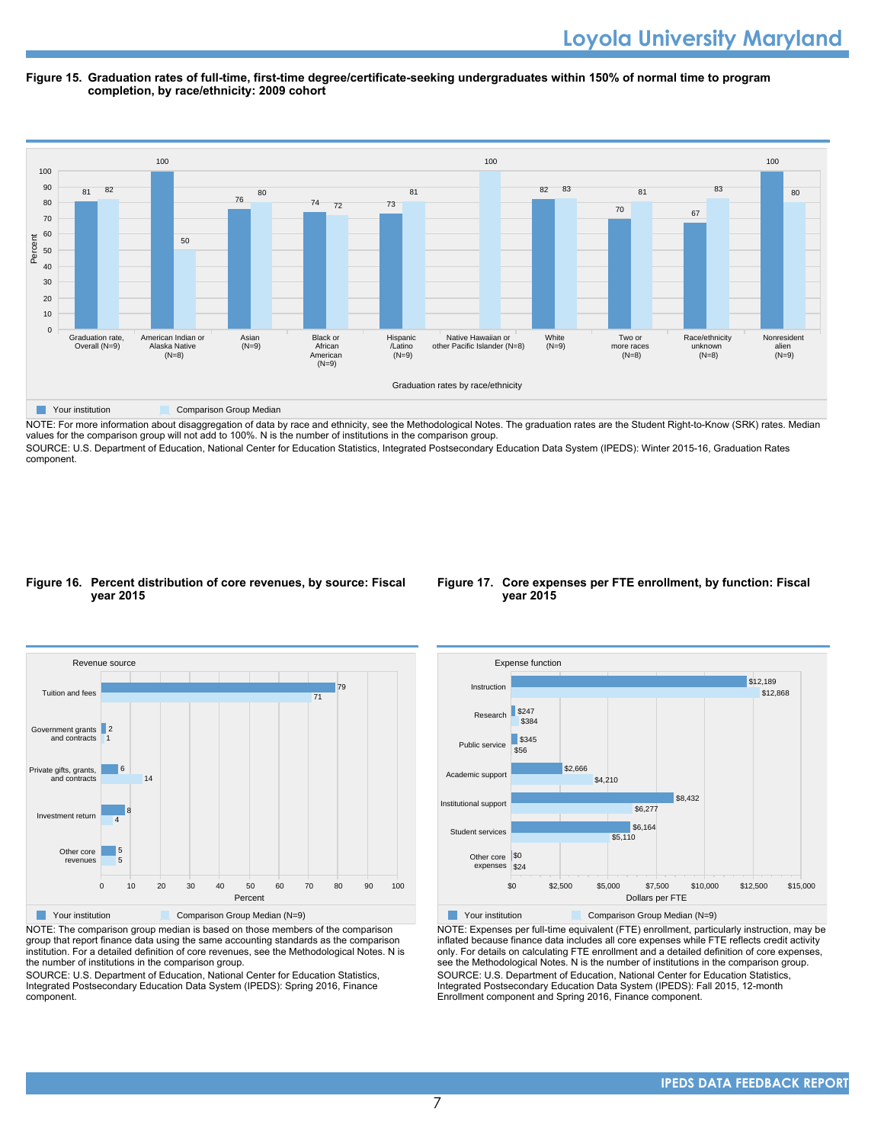#### **Figure 15. Graduation rates of full-time, first-time degree/certificate-seeking undergraduates within 150% of normal time to program completion, by race/ethnicity: 2009 cohort**



NOTE: For more information about disaggregation of data by race and ethnicity, see the Methodological Notes. The graduation rates are the Student Right-to-Know (SRK) rates. Median values for the comparison group will not add to 100%. N is the number of institutions in the comparison group.

SOURCE: U.S. Department of Education, National Center for Education Statistics, Integrated Postsecondary Education Data System (IPEDS): Winter 2015-16, Graduation Rates component.

#### **Figure 16. Percent distribution of core revenues, by source: Fiscal year 2015**



NOTE: The comparison group median is based on those members of the comparison group that report finance data using the same accounting standards as the comparison institution. For a detailed definition of core revenues, see the Methodological Notes. N is the number of institutions in the comparison group.

SOURCE: U.S. Department of Education, National Center for Education Statistics, Integrated Postsecondary Education Data System (IPEDS): Spring 2016, Finance component.

#### **Figure 17. Core expenses per FTE enrollment, by function: Fiscal year 2015**



NOTE: Expenses per full-time equivalent (FTE) enrollment, particularly instruction, may be inflated because finance data includes all core expenses while FTE reflects credit activity only. For details on calculating FTE enrollment and a detailed definition of core expenses, see the Methodological Notes. N is the number of institutions in the comparison group. SOURCE: U.S. Department of Education, National Center for Education Statistics, Integrated Postsecondary Education Data System (IPEDS): Fall 2015, 12-month Enrollment component and Spring 2016, Finance component.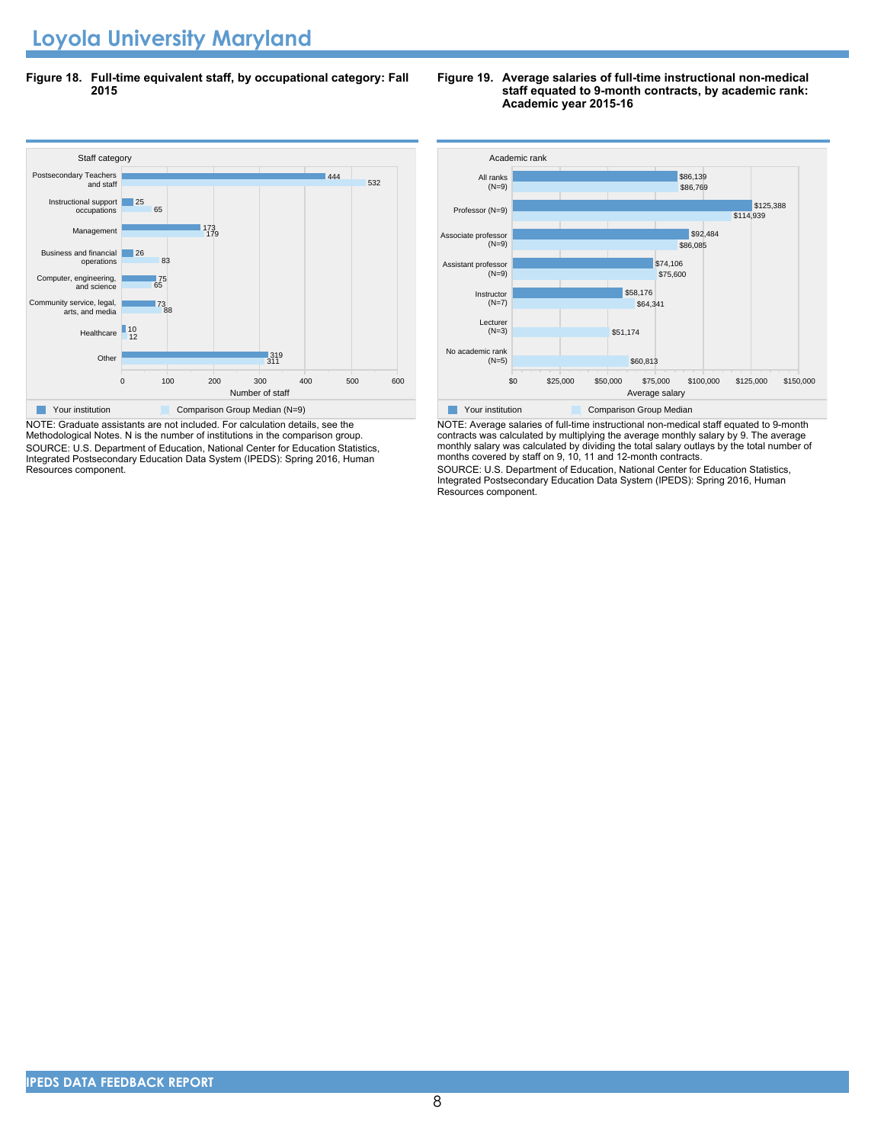**Figure 18. Full-time equivalent staff, by occupational category: Fall 2015**

#### Staff cate<br>Postsecondary Teachers 0 100 200 300 400 500 600 Number of staff Other Healthcare 10<br>12 Community service, legal, arts, and media Computer, engineering, and science Business and financial operations Management Instructional support occupations and staff |319<br>311 88 73 65 75 83 **26** 179 173 65 25 532 444 Staff category **Your institution** Comparison Group Median (N=9)

NOTE: Graduate assistants are not included. For calculation details, see the Methodological Notes. N is the number of institutions in the comparison group. SOURCE: U.S. Department of Education, National Center for Education Statistics, Integrated Postsecondary Education Data System (IPEDS): Spring 2016, Human Resources component.

#### **Figure 19. Average salaries of full-time instructional non-medical staff equated to 9-month contracts, by academic rank: Academic year 2015-16**



NOTE: Average salaries of full-time instructional non-medical staff equated to 9-month contracts was calculated by multiplying the average monthly salary by 9. The average monthly salary was calculated by dividing the total salary outlays by the total number of months covered by staff on 9, 10, 11 and 12-month contracts.

SOURCE: U.S. Department of Education, National Center for Education Statistics, Integrated Postsecondary Education Data System (IPEDS): Spring 2016, Human Resources component.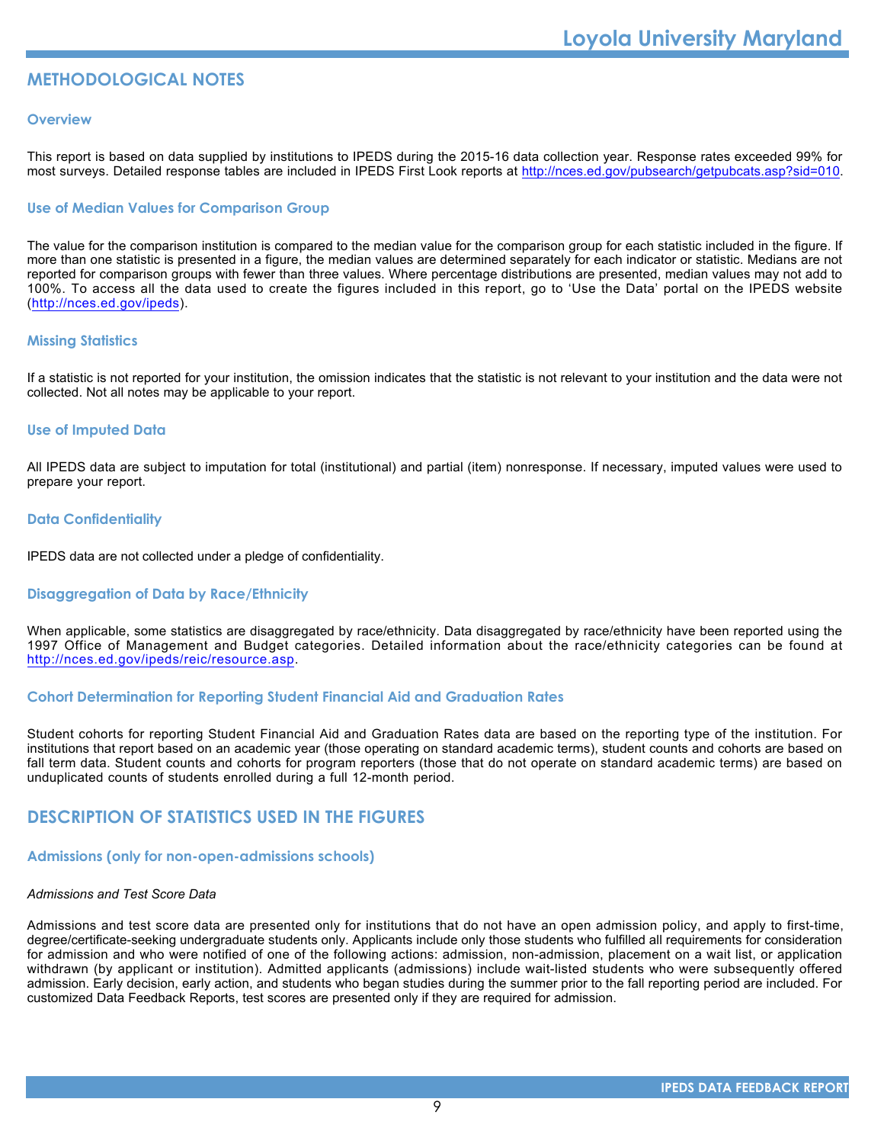# **METHODOLOGICAL NOTES**

#### **Overview**

This report is based on data supplied by institutions to IPEDS during the 2015-16 data collection year. Response rates exceeded 99% for most surveys. Detailed response tables are included in IPEDS First Look reports at [http://nces.ed.gov/pubsearch/getpubcats.asp?sid=010.](http://nces.ed.gov/pubsearch/getpubcats.asp?sid=010)

#### **Use of Median Values for Comparison Group**

The value for the comparison institution is compared to the median value for the comparison group for each statistic included in the figure. If more than one statistic is presented in a figure, the median values are determined separately for each indicator or statistic. Medians are not reported for comparison groups with fewer than three values. Where percentage distributions are presented, median values may not add to 100%. To access all the data used to create the figures included in this report, go to 'Use the Data' portal on the IPEDS website (<http://nces.ed.gov/ipeds>).

### **Missing Statistics**

If a statistic is not reported for your institution, the omission indicates that the statistic is not relevant to your institution and the data were not collected. Not all notes may be applicable to your report.

#### **Use of Imputed Data**

All IPEDS data are subject to imputation for total (institutional) and partial (item) nonresponse. If necessary, imputed values were used to prepare your report.

#### **Data Confidentiality**

IPEDS data are not collected under a pledge of confidentiality.

#### **Disaggregation of Data by Race/Ethnicity**

When applicable, some statistics are disaggregated by race/ethnicity. Data disaggregated by race/ethnicity have been reported using the 1997 Office of Management and Budget categories. Detailed information about the race/ethnicity categories can be found at <http://nces.ed.gov/ipeds/reic/resource.asp>.

#### **Cohort Determination for Reporting Student Financial Aid and Graduation Rates**

Student cohorts for reporting Student Financial Aid and Graduation Rates data are based on the reporting type of the institution. For institutions that report based on an academic year (those operating on standard academic terms), student counts and cohorts are based on fall term data. Student counts and cohorts for program reporters (those that do not operate on standard academic terms) are based on unduplicated counts of students enrolled during a full 12-month period.

# **DESCRIPTION OF STATISTICS USED IN THE FIGURES**

#### **Admissions (only for non-open-admissions schools)**

#### *Admissions and Test Score Data*

Admissions and test score data are presented only for institutions that do not have an open admission policy, and apply to first-time, degree/certificate-seeking undergraduate students only. Applicants include only those students who fulfilled all requirements for consideration for admission and who were notified of one of the following actions: admission, non-admission, placement on a wait list, or application withdrawn (by applicant or institution). Admitted applicants (admissions) include wait-listed students who were subsequently offered admission. Early decision, early action, and students who began studies during the summer prior to the fall reporting period are included. For customized Data Feedback Reports, test scores are presented only if they are required for admission.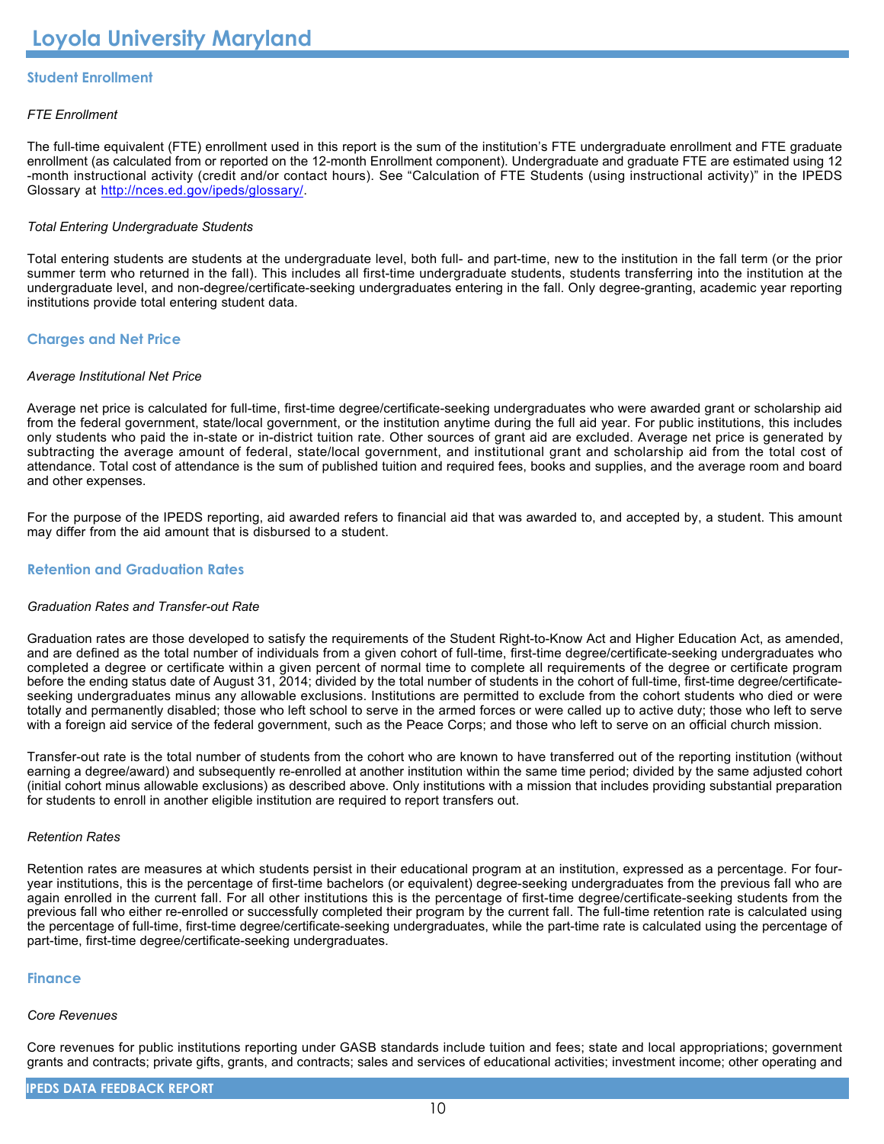# **Student Enrollment**

### *FTE Enrollment*

The full-time equivalent (FTE) enrollment used in this report is the sum of the institution's FTE undergraduate enrollment and FTE graduate enrollment (as calculated from or reported on the 12-month Enrollment component). Undergraduate and graduate FTE are estimated using 12 -month instructional activity (credit and/or contact hours). See "Calculation of FTE Students (using instructional activity)" in the IPEDS Glossary at <http://nces.ed.gov/ipeds/glossary/>.

#### *Total Entering Undergraduate Students*

Total entering students are students at the undergraduate level, both full- and part-time, new to the institution in the fall term (or the prior summer term who returned in the fall). This includes all first-time undergraduate students, students transferring into the institution at the undergraduate level, and non-degree/certificate-seeking undergraduates entering in the fall. Only degree-granting, academic year reporting institutions provide total entering student data.

### **Charges and Net Price**

#### *Average Institutional Net Price*

Average net price is calculated for full-time, first-time degree/certificate-seeking undergraduates who were awarded grant or scholarship aid from the federal government, state/local government, or the institution anytime during the full aid year. For public institutions, this includes only students who paid the in-state or in-district tuition rate. Other sources of grant aid are excluded. Average net price is generated by subtracting the average amount of federal, state/local government, and institutional grant and scholarship aid from the total cost of attendance. Total cost of attendance is the sum of published tuition and required fees, books and supplies, and the average room and board and other expenses.

For the purpose of the IPEDS reporting, aid awarded refers to financial aid that was awarded to, and accepted by, a student. This amount may differ from the aid amount that is disbursed to a student.

### **Retention and Graduation Rates**

#### *Graduation Rates and Transfer-out Rate*

Graduation rates are those developed to satisfy the requirements of the Student Right-to-Know Act and Higher Education Act, as amended, and are defined as the total number of individuals from a given cohort of full-time, first-time degree/certificate-seeking undergraduates who completed a degree or certificate within a given percent of normal time to complete all requirements of the degree or certificate program before the ending status date of August 31, 2014; divided by the total number of students in the cohort of full-time, first-time degree/certificateseeking undergraduates minus any allowable exclusions. Institutions are permitted to exclude from the cohort students who died or were totally and permanently disabled; those who left school to serve in the armed forces or were called up to active duty; those who left to serve with a foreign aid service of the federal government, such as the Peace Corps; and those who left to serve on an official church mission.

Transfer-out rate is the total number of students from the cohort who are known to have transferred out of the reporting institution (without earning a degree/award) and subsequently re-enrolled at another institution within the same time period; divided by the same adjusted cohort (initial cohort minus allowable exclusions) as described above. Only institutions with a mission that includes providing substantial preparation for students to enroll in another eligible institution are required to report transfers out.

#### *Retention Rates*

Retention rates are measures at which students persist in their educational program at an institution, expressed as a percentage. For fouryear institutions, this is the percentage of first-time bachelors (or equivalent) degree-seeking undergraduates from the previous fall who are again enrolled in the current fall. For all other institutions this is the percentage of first-time degree/certificate-seeking students from the previous fall who either re-enrolled or successfully completed their program by the current fall. The full-time retention rate is calculated using the percentage of full-time, first-time degree/certificate-seeking undergraduates, while the part-time rate is calculated using the percentage of part-time, first-time degree/certificate-seeking undergraduates.

#### **Finance**

#### *Core Revenues*

Core revenues for public institutions reporting under GASB standards include tuition and fees; state and local appropriations; government grants and contracts; private gifts, grants, and contracts; sales and services of educational activities; investment income; other operating and